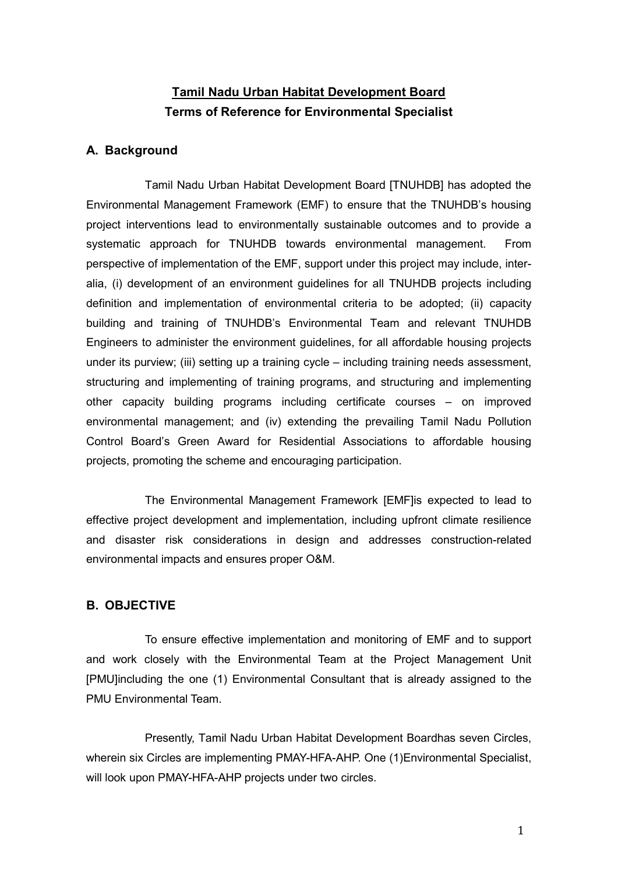# Tamil Nadu Urban Habitat Development Board Terms of Reference for Environmental Specialist

### A. Background

Tamil Nadu Urban Habitat Development Board [TNUHDB] has adopted the Environmental Management Framework (EMF) to ensure that the TNUHDB's housing project interventions lead to environmentally sustainable outcomes and to provide a systematic approach for TNUHDB towards environmental management. From perspective of implementation of the EMF, support under this project may include, interalia, (i) development of an environment guidelines for all TNUHDB projects including definition and implementation of environmental criteria to be adopted; (ii) capacity building and training of TNUHDB's Environmental Team and relevant TNUHDB Engineers to administer the environment guidelines, for all affordable housing projects under its purview; (iii) setting up a training cycle – including training needs assessment, structuring and implementing of training programs, and structuring and implementing other capacity building programs including certificate courses – on improved environmental management; and (iv) extending the prevailing Tamil Nadu Pollution Control Board's Green Award for Residential Associations to affordable housing projects, promoting the scheme and encouraging participation.

The Environmental Management Framework [EMF]is expected to lead to effective project development and implementation, including upfront climate resilience and disaster risk considerations in design and addresses construction-related environmental impacts and ensures proper O&M.

### B. OBJECTIVE

To ensure effective implementation and monitoring of EMF and to support and work closely with the Environmental Team at the Project Management Unit [PMU]including the one (1) Environmental Consultant that is already assigned to the PMU Environmental Team.

Presently, Tamil Nadu Urban Habitat Development Boardhas seven Circles, wherein six Circles are implementing PMAY-HFA-AHP. One (1)Environmental Specialist, will look upon PMAY-HFA-AHP projects under two circles.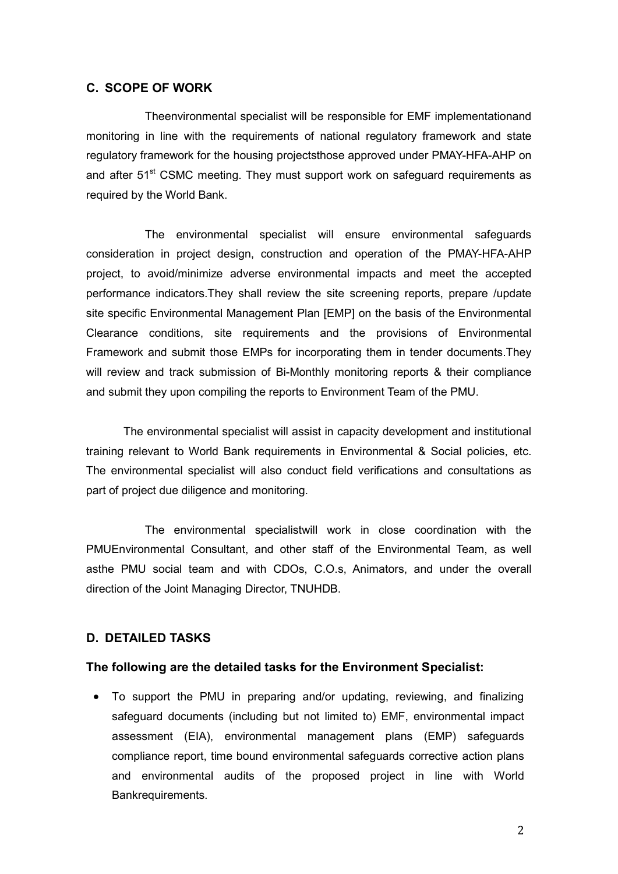### C. SCOPE OF WORK

Theenvironmental specialist will be responsible for EMF implementationand monitoring in line with the requirements of national regulatory framework and state regulatory framework for the housing projectsthose approved under PMAY-HFA-AHP on and after 51<sup>st</sup> CSMC meeting. They must support work on safeguard requirements as required by the World Bank.

The environmental specialist will ensure environmental safeguards consideration in project design, construction and operation of the PMAY-HFA-AHP project, to avoid/minimize adverse environmental impacts and meet the accepted performance indicators.They shall review the site screening reports, prepare /update site specific Environmental Management Plan [EMP] on the basis of the Environmental Clearance conditions, site requirements and the provisions of Environmental Framework and submit those EMPs for incorporating them in tender documents.They will review and track submission of Bi-Monthly monitoring reports & their compliance and submit they upon compiling the reports to Environment Team of the PMU.

 The environmental specialist will assist in capacity development and institutional training relevant to World Bank requirements in Environmental & Social policies, etc. The environmental specialist will also conduct field verifications and consultations as part of project due diligence and monitoring.

The environmental specialistwill work in close coordination with the PMUEnvironmental Consultant, and other staff of the Environmental Team, as well asthe PMU social team and with CDOs, C.O.s, Animators, and under the overall direction of the Joint Managing Director, TNUHDB.

#### D. DETAILED TASKS

#### The following are the detailed tasks for the Environment Specialist:

 To support the PMU in preparing and/or updating, reviewing, and finalizing safeguard documents (including but not limited to) EMF, environmental impact assessment (EIA), environmental management plans (EMP) safeguards compliance report, time bound environmental safeguards corrective action plans and environmental audits of the proposed project in line with World Bankrequirements.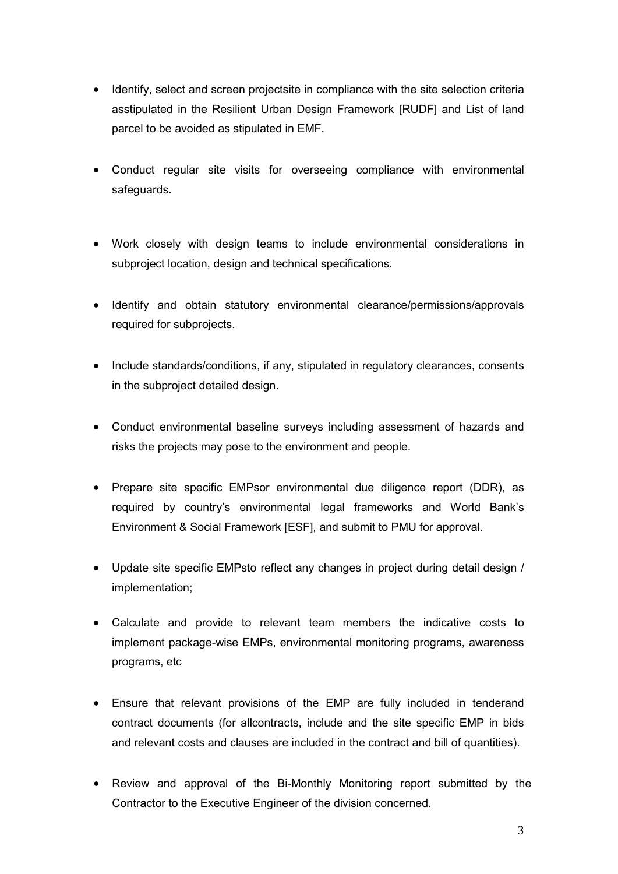- Identify, select and screen projectsite in compliance with the site selection criteria asstipulated in the Resilient Urban Design Framework [RUDF] and List of land parcel to be avoided as stipulated in EMF.
- Conduct regular site visits for overseeing compliance with environmental safeguards.
- Work closely with design teams to include environmental considerations in subproject location, design and technical specifications.
- Identify and obtain statutory environmental clearance/permissions/approvals required for subprojects.
- Include standards/conditions, if any, stipulated in regulatory clearances, consents in the subproject detailed design.
- Conduct environmental baseline surveys including assessment of hazards and risks the projects may pose to the environment and people.
- Prepare site specific EMPsor environmental due diligence report (DDR), as required by country's environmental legal frameworks and World Bank's Environment & Social Framework [ESF], and submit to PMU for approval.
- Update site specific EMPsto reflect any changes in project during detail design / implementation;
- Calculate and provide to relevant team members the indicative costs to implement package-wise EMPs, environmental monitoring programs, awareness programs, etc
- Ensure that relevant provisions of the EMP are fully included in tenderand contract documents (for allcontracts, include and the site specific EMP in bids and relevant costs and clauses are included in the contract and bill of quantities).
- Review and approval of the Bi-Monthly Monitoring report submitted by the Contractor to the Executive Engineer of the division concerned.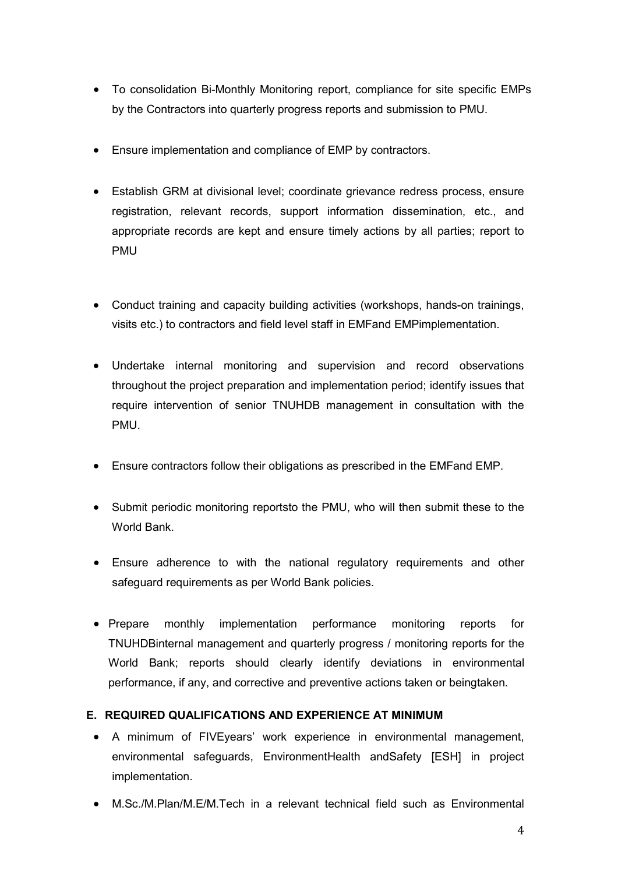- To consolidation Bi-Monthly Monitoring report, compliance for site specific EMPs by the Contractors into quarterly progress reports and submission to PMU.
- Ensure implementation and compliance of EMP by contractors.
- Establish GRM at divisional level; coordinate grievance redress process, ensure registration, relevant records, support information dissemination, etc., and appropriate records are kept and ensure timely actions by all parties; report to PMU
- Conduct training and capacity building activities (workshops, hands-on trainings, visits etc.) to contractors and field level staff in EMFand EMPimplementation.
- Undertake internal monitoring and supervision and record observations throughout the project preparation and implementation period; identify issues that require intervention of senior TNUHDB management in consultation with the PMU.
- Ensure contractors follow their obligations as prescribed in the EMFand EMP.
- Submit periodic monitoring reportsto the PMU, who will then submit these to the World Bank.
- Ensure adherence to with the national regulatory requirements and other safeguard requirements as per World Bank policies.
- Prepare monthly implementation performance monitoring reports for TNUHDBinternal management and quarterly progress / monitoring reports for the World Bank; reports should clearly identify deviations in environmental performance, if any, and corrective and preventive actions taken or beingtaken.

## E. REQUIRED QUALIFICATIONS AND EXPERIENCE AT MINIMUM

- A minimum of FIVEyears' work experience in environmental management, environmental safeguards, EnvironmentHealth andSafety [ESH] in project implementation.
- M.Sc./M.Plan/M.E/M.Tech in a relevant technical field such as Environmental